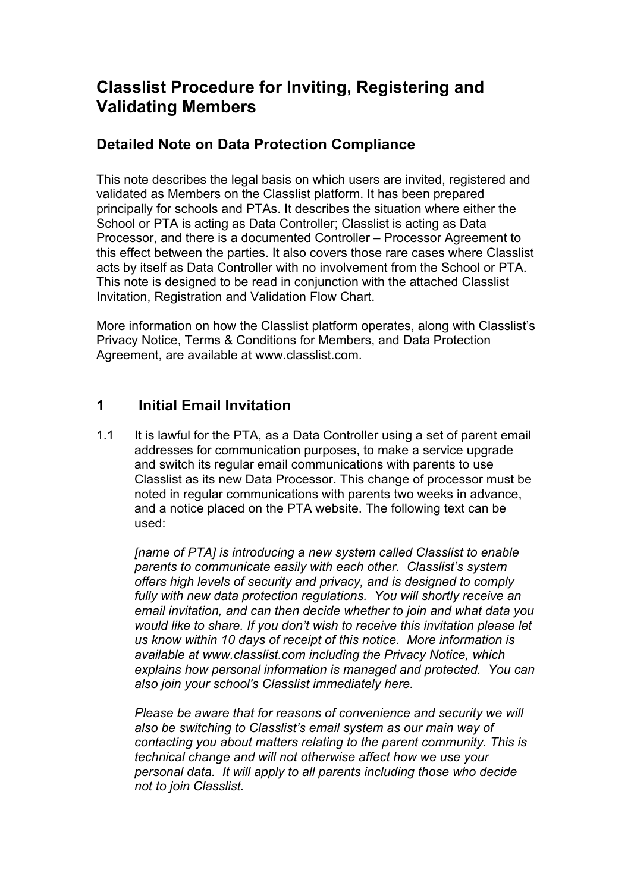# **Classlist Procedure for Inviting, Registering and Validating Members**

#### **Detailed Note on Data Protection Compliance**

This note describes the legal basis on which users are invited, registered and validated as Members on the Classlist platform. It has been prepared principally for schools and PTAs. It describes the situation where either the School or PTA is acting as Data Controller; Classlist is acting as Data Processor, and there is a documented Controller – Processor Agreement to this effect between the parties. It also covers those rare cases where Classlist acts by itself as Data Controller with no involvement from the School or PTA. This note is designed to be read in conjunction with the attached Classlist Invitation, Registration and Validation Flow Chart.

More information on how the Classlist platform operates, along with Classlist's Privacy Notice, Terms & Conditions for Members, and Data Protection Agreement, are available at www.classlist.com.

## **1 Initial Email Invitation**

1.1 It is lawful for the PTA, as a Data Controller using a set of parent email addresses for communication purposes, to make a service upgrade and switch its regular email communications with parents to use Classlist as its new Data Processor. This change of processor must be noted in regular communications with parents two weeks in advance, and a notice placed on the PTA website. The following text can be used:

*[name of PTA] is introducing a new system called Classlist to enable parents to communicate easily with each other. Classlist's system offers high levels of security and privacy, and is designed to comply fully with new data protection regulations. You will shortly receive an email invitation, and can then decide whether to join and what data you would like to share. If you don't wish to receive this invitation please let us know within 10 days of receipt of this notice. More information is available at www.classlist.com including the Privacy Notice, which explains how personal information is managed and protected. You can also join your school's Classlist immediately here.* 

*Please be aware that for reasons of convenience and security we will also be switching to Classlist's email system as our main way of contacting you about matters relating to the parent community. This is technical change and will not otherwise affect how we use your personal data. It will apply to all parents including those who decide not to join Classlist.*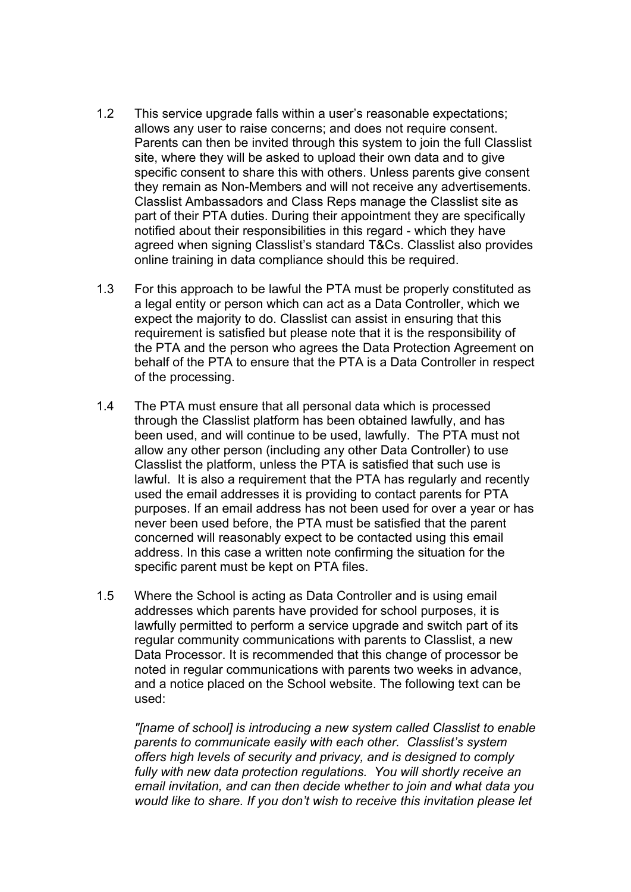- 1.2 This service upgrade falls within a user's reasonable expectations; allows any user to raise concerns; and does not require consent. Parents can then be invited through this system to join the full Classlist site, where they will be asked to upload their own data and to give specific consent to share this with others. Unless parents give consent they remain as Non-Members and will not receive any advertisements. Classlist Ambassadors and Class Reps manage the Classlist site as part of their PTA duties. During their appointment they are specifically notified about their responsibilities in this regard - which they have agreed when signing Classlist's standard T&Cs. Classlist also provides online training in data compliance should this be required.
- 1.3 For this approach to be lawful the PTA must be properly constituted as a legal entity or person which can act as a Data Controller, which we expect the majority to do. Classlist can assist in ensuring that this requirement is satisfied but please note that it is the responsibility of the PTA and the person who agrees the Data Protection Agreement on behalf of the PTA to ensure that the PTA is a Data Controller in respect of the processing.
- 1.4 The PTA must ensure that all personal data which is processed through the Classlist platform has been obtained lawfully, and has been used, and will continue to be used, lawfully. The PTA must not allow any other person (including any other Data Controller) to use Classlist the platform, unless the PTA is satisfied that such use is lawful. It is also a requirement that the PTA has regularly and recently used the email addresses it is providing to contact parents for PTA purposes. If an email address has not been used for over a year or has never been used before, the PTA must be satisfied that the parent concerned will reasonably expect to be contacted using this email address. In this case a written note confirming the situation for the specific parent must be kept on PTA files.
- 1.5 Where the School is acting as Data Controller and is using email addresses which parents have provided for school purposes, it is lawfully permitted to perform a service upgrade and switch part of its regular community communications with parents to Classlist, a new Data Processor. It is recommended that this change of processor be noted in regular communications with parents two weeks in advance, and a notice placed on the School website. The following text can be used:

*"[name of school] is introducing a new system called Classlist to enable parents to communicate easily with each other. Classlist's system offers high levels of security and privacy, and is designed to comply fully with new data protection regulations. You will shortly receive an email invitation, and can then decide whether to join and what data you would like to share. If you don't wish to receive this invitation please let*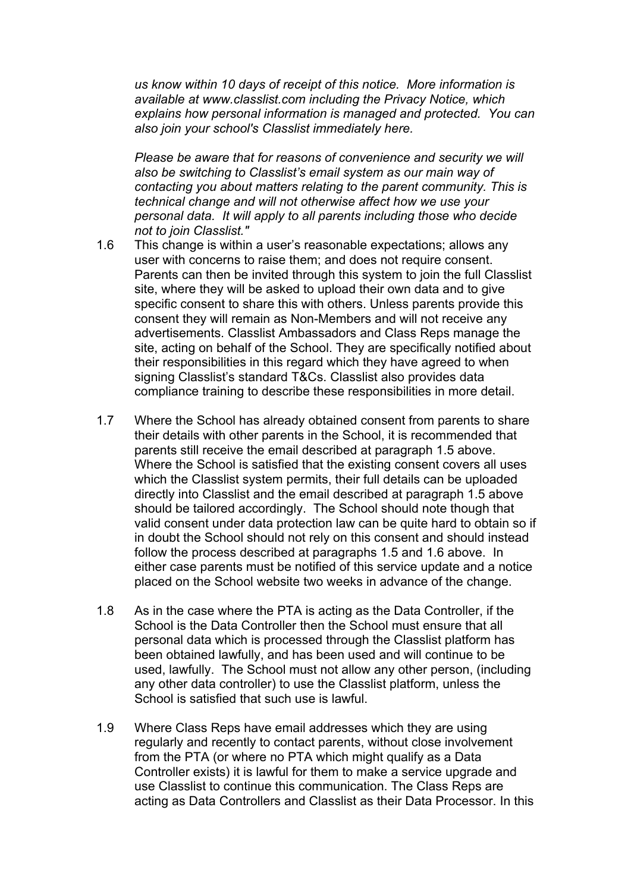*us know within 10 days of receipt of this notice. More information is available at www.classlist.com including the Privacy Notice, which explains how personal information is managed and protected. You can also join your school's Classlist immediately here.* 

*Please be aware that for reasons of convenience and security we will also be switching to Classlist's email system as our main way of contacting you about matters relating to the parent community. This is technical change and will not otherwise affect how we use your personal data. It will apply to all parents including those who decide not to join Classlist."* 

- 1.6 This change is within a user's reasonable expectations; allows any user with concerns to raise them; and does not require consent. Parents can then be invited through this system to join the full Classlist site, where they will be asked to upload their own data and to give specific consent to share this with others. Unless parents provide this consent they will remain as Non-Members and will not receive any advertisements. Classlist Ambassadors and Class Reps manage the site, acting on behalf of the School. They are specifically notified about their responsibilities in this regard which they have agreed to when signing Classlist's standard T&Cs. Classlist also provides data compliance training to describe these responsibilities in more detail.
- 1.7 Where the School has already obtained consent from parents to share their details with other parents in the School, it is recommended that parents still receive the email described at paragraph 1.5 above. Where the School is satisfied that the existing consent covers all uses which the Classlist system permits, their full details can be uploaded directly into Classlist and the email described at paragraph 1.5 above should be tailored accordingly. The School should note though that valid consent under data protection law can be quite hard to obtain so if in doubt the School should not rely on this consent and should instead follow the process described at paragraphs 1.5 and 1.6 above. In either case parents must be notified of this service update and a notice placed on the School website two weeks in advance of the change.
- 1.8 As in the case where the PTA is acting as the Data Controller, if the School is the Data Controller then the School must ensure that all personal data which is processed through the Classlist platform has been obtained lawfully, and has been used and will continue to be used, lawfully. The School must not allow any other person, (including any other data controller) to use the Classlist platform, unless the School is satisfied that such use is lawful.
- 1.9 Where Class Reps have email addresses which they are using regularly and recently to contact parents, without close involvement from the PTA (or where no PTA which might qualify as a Data Controller exists) it is lawful for them to make a service upgrade and use Classlist to continue this communication. The Class Reps are acting as Data Controllers and Classlist as their Data Processor. In this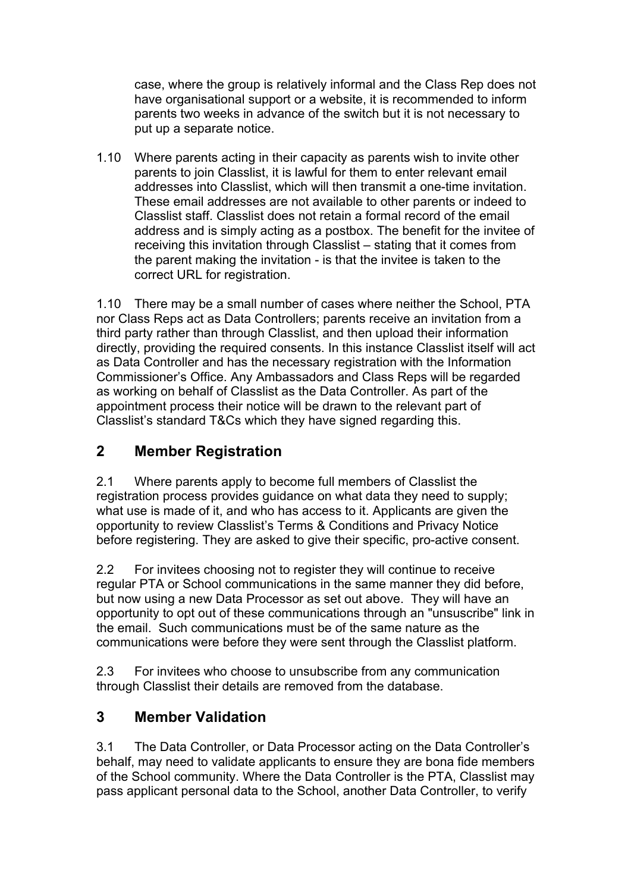case, where the group is relatively informal and the Class Rep does not have organisational support or a website, it is recommended to inform parents two weeks in advance of the switch but it is not necessary to put up a separate notice.

1.10 Where parents acting in their capacity as parents wish to invite other parents to join Classlist, it is lawful for them to enter relevant email addresses into Classlist, which will then transmit a one-time invitation. These email addresses are not available to other parents or indeed to Classlist staff. Classlist does not retain a formal record of the email address and is simply acting as a postbox. The benefit for the invitee of receiving this invitation through Classlist – stating that it comes from the parent making the invitation - is that the invitee is taken to the correct URL for registration.

1.10 There may be a small number of cases where neither the School, PTA nor Class Reps act as Data Controllers; parents receive an invitation from a third party rather than through Classlist, and then upload their information directly, providing the required consents. In this instance Classlist itself will act as Data Controller and has the necessary registration with the Information Commissioner's Office. Any Ambassadors and Class Reps will be regarded as working on behalf of Classlist as the Data Controller. As part of the appointment process their notice will be drawn to the relevant part of Classlist's standard T&Cs which they have signed regarding this.

### **2 Member Registration**

2.1 Where parents apply to become full members of Classlist the registration process provides guidance on what data they need to supply; what use is made of it, and who has access to it. Applicants are given the opportunity to review Classlist's Terms & Conditions and Privacy Notice before registering. They are asked to give their specific, pro-active consent.

2.2 For invitees choosing not to register they will continue to receive regular PTA or School communications in the same manner they did before, but now using a new Data Processor as set out above. They will have an opportunity to opt out of these communications through an "unsuscribe" link in the email. Such communications must be of the same nature as the communications were before they were sent through the Classlist platform.

2.3 For invitees who choose to unsubscribe from any communication through Classlist their details are removed from the database.

#### **3 Member Validation**

3.1 The Data Controller, or Data Processor acting on the Data Controller's behalf, may need to validate applicants to ensure they are bona fide members of the School community. Where the Data Controller is the PTA, Classlist may pass applicant personal data to the School, another Data Controller, to verify